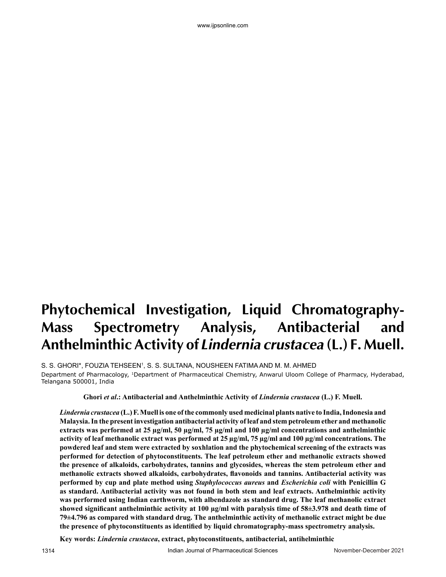# **Phytochemical Investigation, Liquid Chromatography-Mass Spectrometry Analysis, Antibacterial and Anthelminthic Activity of Lindernia crustacea (L.) F. Muell.**

www.ijpsonline.com

S. S. GHORI\*, FOUZIA TEHSEEN', S. S. SULTANA, NOUSHEEN FATIMA AND M. M. AHMED Department of Pharmacology, 1Department of Pharmaceutical Chemistry, Anwarul Uloom College of Pharmacy, Hyderabad, Telangana 500001, India

**Ghori** *et al***.: Antibacterial and Anthelminthic Activity of** *Lindernia crustacea* **(L.) F. Muell.**

*Lindernia crustacea* **(L.) F. Muell is one of the commonly used medicinal plants native to India, Indonesia and Malaysia. In the present investigation antibacterial activity of leaf and stem petroleum ether and methanolic extracts was performed at 25 µg/ml, 50 µg/ml, 75 µg/ml and 100 µg/ml concentrations and anthelminthic activity of leaf methanolic extract was performed at 25 µg/ml, 75 µg/ml and 100 µg/ml concentrations. The powdered leaf and stem were extracted by soxhlation and the phytochemical screening of the extracts was performed for detection of phytoconstituents. The leaf petroleum ether and methanolic extracts showed the presence of alkaloids, carbohydrates, tannins and glycosides, whereas the stem petroleum ether and methanolic extracts showed alkaloids, carbohydrates, flavonoids and tannins. Antibacterial activity was performed by cup and plate method using** *Staphylococcus aureus* **and** *Escherichia coli* **with Penicillin G as standard. Antibacterial activity was not found in both stem and leaf extracts. Anthelminthic activity was performed using Indian earthworm, with albendazole as standard drug. The leaf methanolic extract showed significant anthelminthic activity at 100 µg/ml with paralysis time of 58±3.978 and death time of 79±4.796 as compared with standard drug. The anthelminthic activity of methanolic extract might be due the presence of phytoconstituents as identified by liquid chromatography-mass spectrometry analysis.**

**Key words:** *Lindernia crustacea***, extract, phytoconstituents, antibacterial, antihelminthic**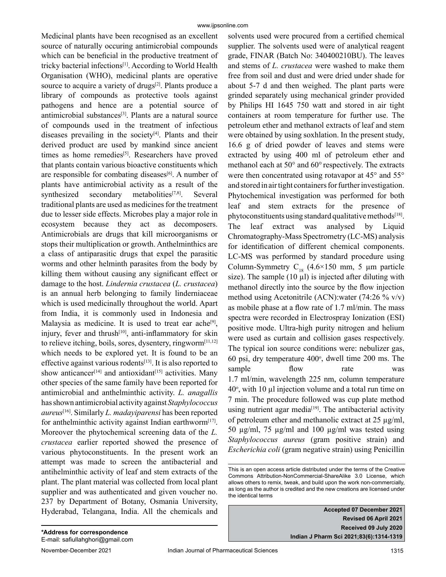Medicinal plants have been recognised as an excellent source of naturally occuring antimicrobial compounds which can be beneficial in the productive treatment of tricky bacterial infections[1]. According to World Health Organisation (WHO), medicinal plants are operative source to acquire a variety of drugs<sup>[2]</sup>. Plants produce a library of compounds as protective tools against pathogens and hence are a potential source of antimicrobial substances[3]. Plants are a natural source of compounds used in the treatment of infectious diseases prevailing in the society $[4]$ . Plants and their derived product are used by mankind since ancient times as home remedies<sup>[5]</sup>. Researchers have proved that plants contain various bioactive constituents which are responsible for combating diseases<sup>[6]</sup>. A number of plants have antimicrobial activity as a result of the synthesized secondary metabolities<sup>[7,8]</sup>. Several traditional plants are used as medicines for the treatment due to lesser side effects. Microbes play a major role in ecosystem because they act as decomposers. Antimicrobials are drugs that kill microorganisms or stops their multiplication or growth. Anthelminthics are a class of antiparasitic drugs that expel the parasitic worms and other helminth parasites from the body by killing them without causing any significant effect or damage to the host. *Lindernia crustacea* (*L. crustacea*) is an annual herb belonging to family linderniaceae which is used medicinally throughout the world. Apart from India, it is commonly used in Indonesia and Malaysia as medicine. It is used to treat ear ache<sup>[9]</sup>, injury, fever and thrush<sup>[10]</sup>, anti-inflammatory for skin to relieve itching, boils, sores, dysentery, ringworm $[11,12]$ which needs to be explored yet. It is found to be an effective against various rodents[13]. It is also reported to show anticancer<sup>[14]</sup> and antioxidant<sup>[15]</sup> activities. Many other species of the same family have been reported for antimicrobial and anthelminthic activity. *L. anagallis* has shown antimicrobial activity against *Staphylococcus aureus*[16]. Similarly *L. madayiparensi* has been reported for anthelminthic activity against Indian earthworm<sup>[17]</sup>. Moreover the phytochemical screening data of the *L. crustacea* earlier reported showed the presence of various phytoconstituents. In the present work an attempt was made to screen the antibacterial and antihelminthic activity of leaf and stem extracts of the plant. The plant material was collected from local plant supplier and was authenticated and given voucher no. 237 by Department of Botany, Osmania University, Hyderabad, Telangana, India. All the chemicals and solvents used were procured from a certified chemical supplier. The solvents used were of analytical reagent grade, FINAR (Batch No: 340400210BU). The leaves and stems of *L. crustacea* were washed to make them free from soil and dust and were dried under shade for about 5-7 d and then weighed. The plant parts were grinded separately using mechanical grinder provided by Philips HI 1645 750 watt and stored in air tight containers at room temperature for further use. The petroleum ether and methanol extracts of leaf and stem were obtained by using soxhlation. In the present study, 16.6 g of dried powder of leaves and stems were extracted by using 400 ml of petroleum ether and methanol each at 50° and 60° respectively. The extracts were then concentrated using rotavapor at 45° and 55° and stored in air tight containers for further investigation. Phytochemical investigation was performed for both leaf and stem extracts for the presence of phytoconstituents using standard qualitative methods<sup>[18]</sup>. The leaf extract was analysed by Liquid Chromatography-Mass Spectrometry (LC-MS) analysis for identification of different chemical components. LC-MS was performed by standard procedure using Column-Symmetry  $C_{18}$  (4.6×150 mm, 5 µm particle size). The sample  $(10 \mu l)$  is injected after diluting with methanol directly into the source by the flow injection method using Acetonitrile (ACN):water (74:26 % v/v) as mobile phase at a flow rate of 1.7 ml/min. The mass spectra were recorded in Electrospray Ionization (ESI) positive mode. Ultra-high purity nitrogen and helium were used as curtain and collision gases respectively. The typical ion source conditions were: nebulizer gas,  $60$  psi, dry temperature  $400^\circ$ , dwell time  $200$  ms. The sample flow rate was 1.7 ml/min, wavelength 225 nm, column temperature  $40^\circ$ , with 10  $\mu$ l injection volume and a total run time on 7 min. The procedure followed was cup plate method using nutrient agar media<sup>[19]</sup>. The antibacterial activity of petroleum ether and methanolic extract at 25 µg/ml, 50 µg/ml, 75 µg/ml and 100 µg/ml was tested using *Staphylococcus aureus* (gram positive strain) and *Escherichia coli* (gram negative strain) using Penicillin

**Accepted 07 December 2021 Revised 06 April 2021 Received 09 July 2020 Indian J Pharm Sci 2021;83(6):1314-1319**

This is an open access article distributed under the terms of the Creative Commons Attribution-NonCommercial-ShareAlike 3.0 License, which allows others to remix, tweak, and build upon the work non-commercially, as long as the author is credited and the new creations are licensed under the identical terms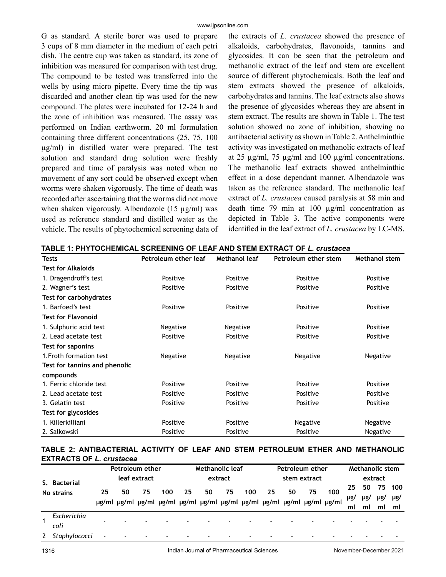G as standard. A sterile borer was used to prepare 3 cups of 8 mm diameter in the medium of each petri dish. The centre cup was taken as standard, its zone of inhibition was measured for comparison with test drug. The compound to be tested was transferred into the wells by using micro pipette. Every time the tip was discarded and another clean tip was used for the new compound. The plates were incubated for 12-24 h and the zone of inhibition was measured. The assay was performed on Indian earthworm. 20 ml formulation containing three different concentrations (25, 75, 100 µg/ml) in distilled water were prepared. The test solution and standard drug solution were freshly prepared and time of paralysis was noted when no movement of any sort could be observed except when worms were shaken vigorously. The time of death was recorded after ascertaining that the worms did not move when shaken vigorously. Albendazole (15 µg/ml) was used as reference standard and distilled water as the vehicle. The results of phytochemical screening data of the extracts of *L. crustacea* showed the presence of alkaloids, carbohydrates, flavonoids, tannins and glycosides. It can be seen that the petroleum and methanolic extract of the leaf and stem are excellent source of different phytochemicals. Both the leaf and stem extracts showed the presence of alkaloids, carbohydrates and tannins. The leaf extracts also shows the presence of glycosides whereas they are absent in stem extract. The results are shown in Table 1. The test solution showed no zone of inhibition, showing no antibacterial activity as shown in Table 2. Anthelminthic activity was investigated on methanolic extracts of leaf at 25 µg/ml, 75 µg/ml and 100 µg/ml concentrations. The methanolic leaf extracts showed anthelminthic effect in a dose dependant manner. Albendazole was taken as the reference standard. The methanolic leaf extract of *L. crustacea* caused paralysis at 58 min and death time 79 min at 100 µg/ml concentration as depicted in Table 3. The active components were identified in the leaf extract of *L. crustacea* by LC-MS.

| <b>Tests</b>                  | Petroleum ether leaf | Methanol leaf   | Petroleum ether stem | Methanol stem |  |
|-------------------------------|----------------------|-----------------|----------------------|---------------|--|
| <b>Test for Alkaloids</b>     |                      |                 |                      |               |  |
| 1. Dragendroff's test         | Positive             | Positive        | Positive             | Positive      |  |
| 2. Wagner's test              | Positive             | Positive        | Positive             | Positive      |  |
| Test for carbohydrates        |                      |                 |                      |               |  |
| 1. Barfoed's test             | Positive             | Positive        | Positive             | Positive      |  |
| <b>Test for Flavonoid</b>     |                      |                 |                      |               |  |
| 1. Sulphuric acid test        | Negative             | Negative        | Positive             | Positive      |  |
| 2. Lead acetate test          | Positive             | Positive        | Positive             | Positive      |  |
| Test for saponins             |                      |                 |                      |               |  |
| 1. Froth formation test       | Negative             | <b>Negative</b> | Negative             | Negative      |  |
| Test for tannins and phenolic |                      |                 |                      |               |  |
| compounds                     |                      |                 |                      |               |  |
| 1. Ferric chloride test       | Positive             | Positive        | Positive             | Positive      |  |
| 2. Lead acetate test          | Positive             | Positive        | Positive             | Positive      |  |
| 3. Gelatin test               | Positive             | Positive        | Positive             | Positive      |  |
| Test for glycosides           |                      |                 |                      |               |  |
| 1. Killerkilliani             | Positive             | Positive        | Negative             | Negative      |  |
| 2. Salkowski                  | Positive             | Positive        | Positive             | Negative      |  |

**TABLE 1: PHYTOCHEMICAL SCREENING OF LEAF AND STEM EXTRACT OF** *L. crustacea*

## **TABLE 2: ANTIBACTERIAL ACTIVITY OF LEAF AND STEM PETROLEUM ETHER AND METHANOLIC EXTRACTS OF** *L. crustacea*

|              |               |              | Petroleum ether                                                         |         |     |                          |                          | Methanolic leaf |     |         |    | Petroleum ether |     |    | <b>Methanolic stem</b> |    |     |
|--------------|---------------|--------------|-------------------------------------------------------------------------|---------|-----|--------------------------|--------------------------|-----------------|-----|---------|----|-----------------|-----|----|------------------------|----|-----|
| S. Bacterial |               | leaf extract |                                                                         | extract |     |                          | stem extract             |                 |     | extract |    |                 |     |    |                        |    |     |
|              | No strains    | 25           | 50                                                                      | 75      | 100 | 25                       | 50                       | 75              | 100 | 25      | 50 | 75              | 100 | 25 | 50                     | 75 | 100 |
|              |               |              | µg/ml µg/ml µg/ml µg/ml µg/ml µg/ml µg/ml µg/ml µg/ml µg/ml µg/ml µg/ml |         |     |                          | µg/                      | µg/             | µg/ | µg/     |    |                 |     |    |                        |    |     |
|              |               |              |                                                                         |         |     |                          |                          |                 |     |         |    |                 |     | ml | ml                     | ml | ml  |
|              | Escherichia   |              |                                                                         |         |     |                          |                          |                 |     |         |    |                 |     |    |                        |    |     |
|              | coli          |              |                                                                         |         |     |                          |                          |                 |     |         |    |                 |     |    |                        |    |     |
|              | Staphylococci |              | $\blacksquare$                                                          |         |     | $\overline{\phantom{a}}$ | $\overline{\phantom{a}}$ |                 |     |         |    |                 |     |    |                        |    |     |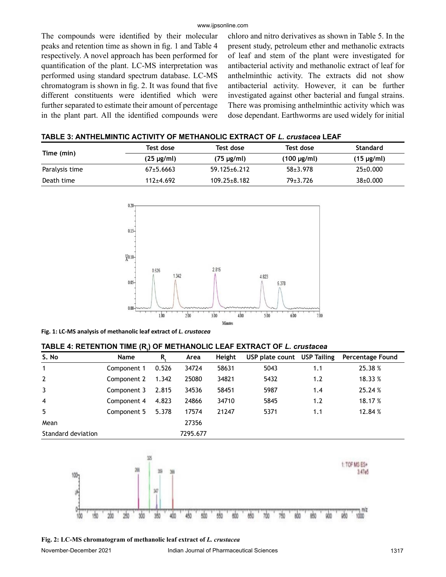#### www.ijpsonline.com

The compounds were identified by their molecular peaks and retention time as shown in fig. 1 and Table 4 respectively. A novel approach has been performed for quantification of the plant. LC-MS interpretation was performed using standard spectrum database. LC-MS chromatogram is shown in fig. 2. It was found that five different constituents were identified which were further separated to estimate their amount of percentage in the plant part. All the identified compounds were chloro and nitro derivatives as shown in Table 5. In the present study, petroleum ether and methanolic extracts of leaf and stem of the plant were investigated for antibacterial activity and methanolic extract of leaf for anthelminthic activity. The extracts did not show antibacterial activity. However, it can be further investigated against other bacterial and fungal strains. There was promising anthelminthic activity which was dose dependant. Earthworms are used widely for initial

| TABLE 3: ANTHELMINTIC ACTIVITY OF METHANOLIC EXTRACT OF L. crustacea LEAF |  |
|---------------------------------------------------------------------------|--|
|---------------------------------------------------------------------------|--|

|                | Test dose       | Test dose          | Test dose        | <b>Standard</b> |
|----------------|-----------------|--------------------|------------------|-----------------|
| Time (min)     | $(25 \mu g/ml)$ | $(75 \mu g/ml)$    | $(100 \mu g/ml)$ | $(15 \mu g/ml)$ |
| Paralysis time | $67+5.6663$     | $59.125 \pm 6.212$ | $58 + 3.978$     | $25 \pm 0.000$  |
| Death time     | $112+4.692$     | $109.25 \pm 8.182$ | 79±3.726         | $38{\pm}0.000$  |



**Fig. 1: LC-MS analysis of methanolic leaf extract of** *L. crustacea*

# **TABLE 4: RETENTION TIME (Rt ) OF METHANOLIC LEAF EXTRACT OF** *L. crustacea*

| S. No              | Name        | R.    | Area     | Height | USP plate count USP Tailing |     | <b>Percentage Found</b> |
|--------------------|-------------|-------|----------|--------|-----------------------------|-----|-------------------------|
| $\mathbf{1}$       | Component 1 | 0.526 | 34724    | 58631  | 5043                        | 1.1 | 25.38%                  |
| $\overline{2}$     | Component 2 | 1.342 | 25080    | 34821  | 5432                        | 1.2 | 18.33 %                 |
| $\mathbf{3}$       | Component 3 | 2.815 | 34536    | 58451  | 5987                        | 1.4 | 25.24 %                 |
| $\overline{4}$     | Component 4 | 4.823 | 24866    | 34710  | 5845                        | 1.2 | 18.17 %                 |
| 5                  | Component 5 | 5.378 | 17574    | 21247  | 5371                        | 1.1 | 12.84 %                 |
| Mean               |             |       | 27356    |        |                             |     |                         |
| Standard deviation |             |       | 7295.677 |        |                             |     |                         |



**Fig. 2: LC-MS chromatogram of methanolic leaf extract of** *L. crustacea*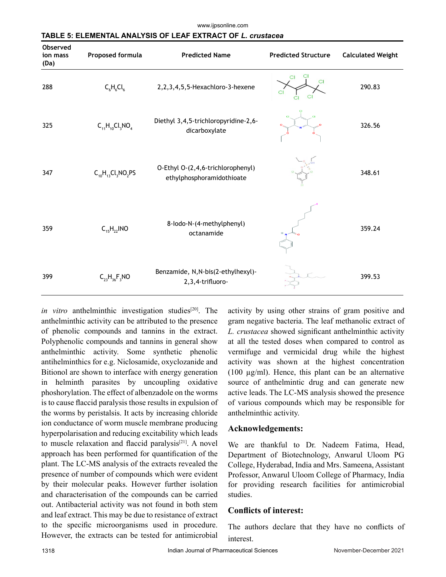www.ijpsonline.com

| TABLE 5: ELEMENTAL ANALYSIS OF LEAF EXTRACT OF <i>L. crustacea</i> |
|--------------------------------------------------------------------|
|--------------------------------------------------------------------|

| ODSEI VEG<br>ion mass<br>(Da) | Proposed formula         | <b>Predicted Name</b>                                          | <b>Predicted Structure</b> | <b>Calculated Weight</b> |
|-------------------------------|--------------------------|----------------------------------------------------------------|----------------------------|--------------------------|
| 288                           | $C_6H_6Cl_6$             | 2,2,3,4,5,5-Hexachloro-3-hexene                                | CI                         | 290.83                   |
| 325                           | $C_{11}H_{10}Cl_3NO_4$   | Diethyl 3,4,5-trichloropyridine-2,6-<br>dicarboxylate          | <b>CI</b>                  | 326.56                   |
| 347                           | $C_{10}H_{13}Cl_3NO_2PS$ | O-Ethyl O-(2,4,6-trichlorophenyl)<br>ethylphosphoramidothioate |                            | 348.61                   |
| 359                           | $C_{15}H_{22}$ INO       | 8-lodo-N-(4-methylphenyl)<br>octanamide                        |                            | 359.24                   |
| 399                           | $C_{23}H_{36}F_3NO$      | Benzamide, N, N-bis(2-ethylhexyl)-<br>2,3,4-trifluoro-         |                            | 399.53                   |

in vitro anthelminthic investigation studies<sup>[20]</sup>. The anthelminthic activity can be attributed to the presence of phenolic compounds and tannins in the extract. Polyphenolic compounds and tannins in general show anthelminthic activity. Some synthetic phenolic antihelminthics for e.g. Niclosamide, oxyclozanide and Bitionol are shown to interface with energy generation in helminth parasites by uncoupling oxidative phoshorylation. The effect of albenzadole on the worms is to cause flaccid paralysis those results in expulsion of the worms by peristalsis. It acts by increasing chloride ion conductance of worm muscle membrane producing hyperpolarisation and reducing excitability which leads to muscle relaxation and flaccid paralysis $[21]$ . A novel approach has been performed for quantification of the plant. The LC-MS analysis of the extracts revealed the presence of number of compounds which were evident by their molecular peaks. However further isolation and characterisation of the compounds can be carried out. Antibacterial activity was not found in both stem and leaf extract. This may be due to resistance of extract to the specific microorganisms used in procedure. However, the extracts can be tested for antimicrobial

activity by using other strains of gram positive and gram negative bacteria. The leaf methanolic extract of *L. crustacea* showed significant anthelminthic activity at all the tested doses when compared to control as vermifuge and vermicidal drug while the highest activity was shown at the highest concentration (100 µg/ml). Hence, this plant can be an alternative source of anthelmintic drug and can generate new active leads. The LC-MS analysis showed the presence of various compounds which may be responsible for anthelminthic activity.

#### **Acknowledgements:**

We are thankful to Dr. Nadeem Fatima, Head, Department of Biotechnology, Anwarul Uloom PG College, Hyderabad, India and Mrs. Sameena, Assistant Professor, Anwarul Uloom College of Pharmacy, India for providing research facilities for antimicrobial studies.

## **Conflicts of interest:**

The authors declare that they have no conflicts of interest.

**Observed**